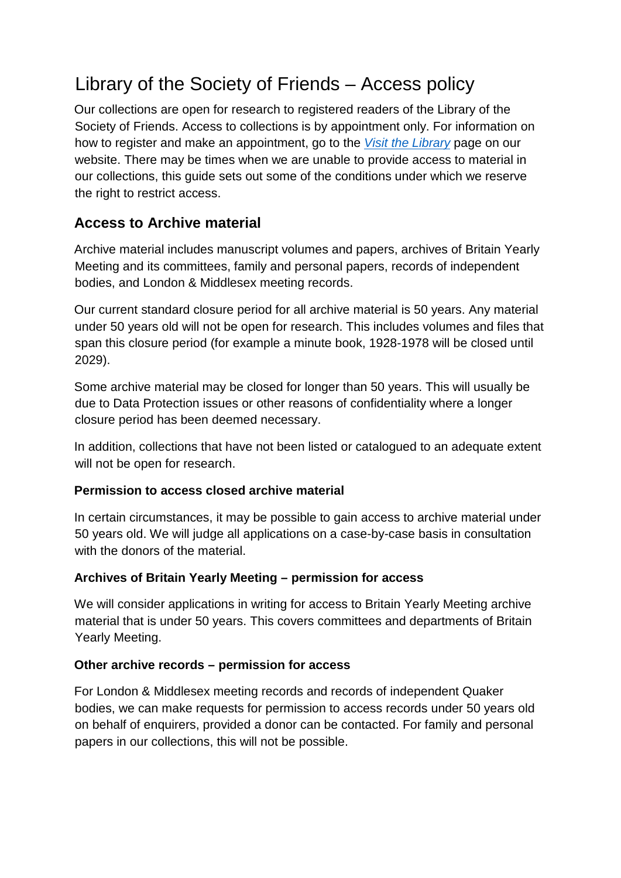# Library of the Society of Friends – Access policy

Our collections are open for research to registered readers of the Library of the Society of Friends. Access to collections is by appointment only. For information on how to register and make an appointment, go to the *[Visit the Library](https://www.quaker.org.uk/resources/library/visit-the-library)* [p](https://www.quaker.org.uk/resources/library/visit-the-library)age on our website. There may be times when we are unable to provide access to material in our collections, this guide sets out some of the conditions under which we reserve the right to restrict access.

## **Access to Archive material**

Archive material includes manuscript volumes and papers, archives of Britain Yearly Meeting and its committees, family and personal papers, records of independent bodies, and London & Middlesex meeting records.

Our current standard closure period for all archive material is 50 years. Any material under 50 years old will not be open for research. This includes volumes and files that span this closure period (for example a minute book, 1928-1978 will be closed until 2029).

Some archive material may be closed for longer than 50 years. This will usually be due to Data Protection issues or other reasons of confidentiality where a longer closure period has been deemed necessary.

In addition, collections that have not been listed or catalogued to an adequate extent will not be open for research.

#### **Permission to access closed archive material**

In certain circumstances, it may be possible to gain access to archive material under 50 years old. We will judge all applications on a case-by-case basis in consultation with the donors of the material.

#### **Archives of Britain Yearly Meeting – permission for access**

We will consider applications in writing for access to Britain Yearly Meeting archive material that is under 50 years. This covers committees and departments of Britain Yearly Meeting.

#### **Other archive records – permission for access**

For London & Middlesex meeting records and records of independent Quaker bodies, we can make requests for permission to access records under 50 years old on behalf of enquirers, provided a donor can be contacted. For family and personal papers in our collections, this will not be possible.